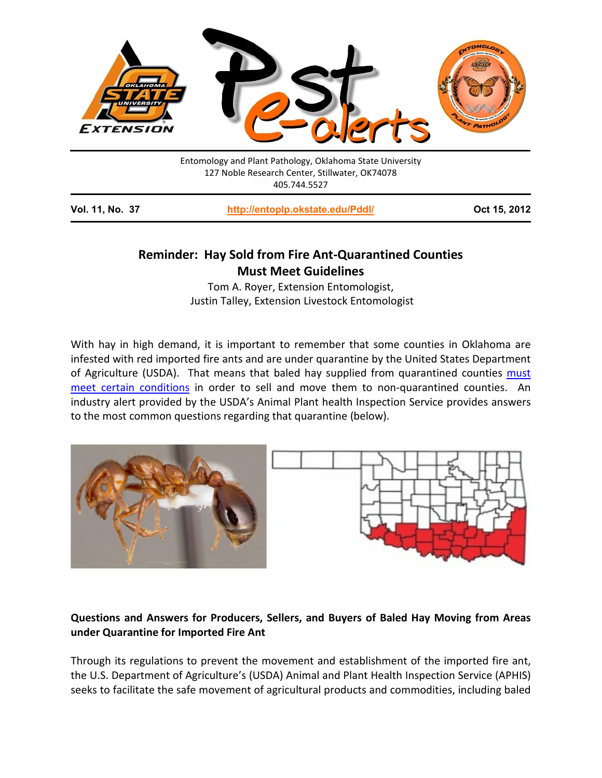

Entomology and Plant Pathology, Oklahoma State University 127 Noble Research Center, Stillwater, OK74078 405.744.5527

**Vol. 11, No. 37 <http://entoplp.okstate.edu/Pddl/> Oct 15, 2012**

# **Reminder: Hay Sold from Fire Ant-Quarantined Counties Must Meet Guidelines**

Tom A. Royer, Extension Entomologist, Justin Talley, Extension Livestock Entomologist

With hay in high demand, it is important to remember that some counties in Oklahoma are infested with red imported fire ants and are under quarantine by the United States Department of Agriculture (USDA). That means that baled hay supplied from quarantined counties [must](http://www.aphis.usda.gov/plant_health/plant_pest_info/fireants/downloads/BaledHayProducers.pdf)  [meet certain conditions](http://www.aphis.usda.gov/plant_health/plant_pest_info/fireants/downloads/BaledHayProducers.pdf) in order to sell and move them to non-quarantined counties. An industry alert provided by the USDA's Animal Plant health Inspection Service provides answers to the most common questions regarding that quarantine (below).



## **Questions and Answers for Producers, Sellers, and Buyers of Baled Hay Moving from Areas under Quarantine for Imported Fire Ant**

Through its regulations to prevent the movement and establishment of the imported fire ant, the U.S. Department of Agriculture's (USDA) Animal and Plant Health Inspection Service (APHIS) seeks to facilitate the safe movement of agricultural products and commodities, including baled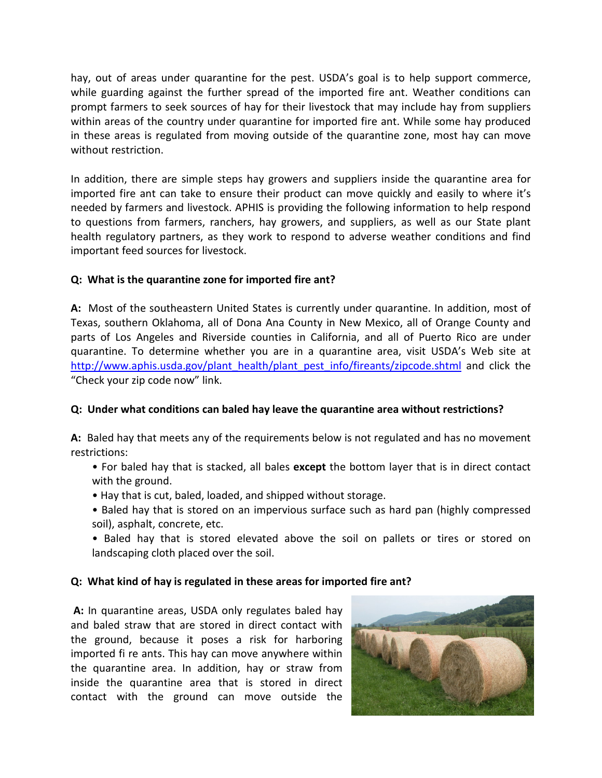hay, out of areas under quarantine for the pest. USDA's goal is to help support commerce, while guarding against the further spread of the imported fire ant. Weather conditions can prompt farmers to seek sources of hay for their livestock that may include hay from suppliers within areas of the country under quarantine for imported fire ant. While some hay produced in these areas is regulated from moving outside of the quarantine zone, most hay can move without restriction.

In addition, there are simple steps hay growers and suppliers inside the quarantine area for imported fire ant can take to ensure their product can move quickly and easily to where it's needed by farmers and livestock. APHIS is providing the following information to help respond to questions from farmers, ranchers, hay growers, and suppliers, as well as our State plant health regulatory partners, as they work to respond to adverse weather conditions and find important feed sources for livestock.

### **Q: What is the quarantine zone for imported fire ant?**

**A:** Most of the southeastern United States is currently under quarantine. In addition, most of Texas, southern Oklahoma, all of Dona Ana County in New Mexico, all of Orange County and parts of Los Angeles and Riverside counties in California, and all of Puerto Rico are under quarantine. To determine whether you are in a quarantine area, visit USDA's Web site at [http://www.aphis.usda.gov/plant\\_health/plant\\_pest\\_info/fireants/zipcode.shtml](http://www.aphis.usda.gov/plant_health/plant_pest_info/fireants/zipcode.shtml) and click the "Check your zip code now" link.

#### **Q: Under what conditions can baled hay leave the quarantine area without restrictions?**

**A:** Baled hay that meets any of the requirements below is not regulated and has no movement restrictions:

- For baled hay that is stacked, all bales **except** the bottom layer that is in direct contact with the ground.
- Hay that is cut, baled, loaded, and shipped without storage.
- Baled hay that is stored on an impervious surface such as hard pan (highly compressed soil), asphalt, concrete, etc.
- Baled hay that is stored elevated above the soil on pallets or tires or stored on landscaping cloth placed over the soil.

#### **Q: What kind of hay is regulated in these areas for imported fire ant?**

**A:** In quarantine areas, USDA only regulates baled hay and baled straw that are stored in direct contact with the ground, because it poses a risk for harboring imported fi re ants. This hay can move anywhere within the quarantine area. In addition, hay or straw from inside the quarantine area that is stored in direct contact with the ground can move outside the

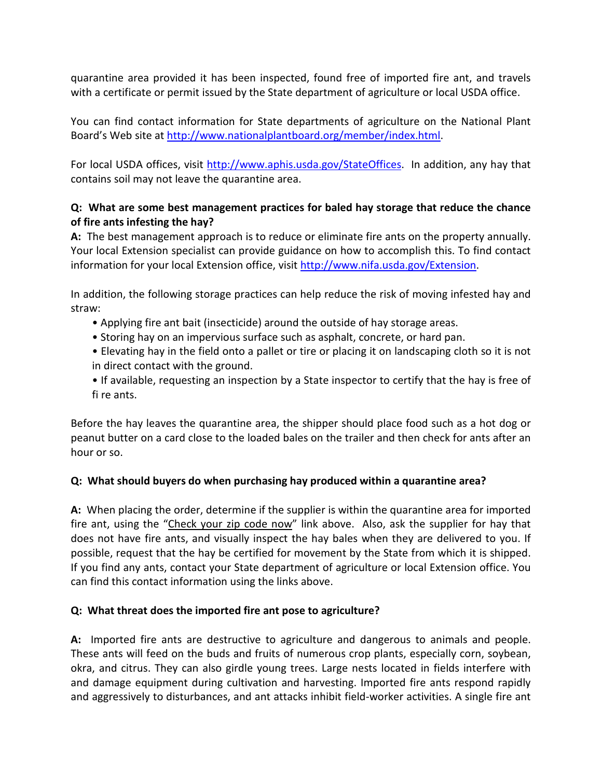quarantine area provided it has been inspected, found free of imported fire ant, and travels with a certificate or permit issued by the State department of agriculture or local USDA office.

You can find contact information for State departments of agriculture on the National Plant Board's Web site at [http://www.nationalplantboard.org/member/index.html.](http://www.nationalplantboard.org/member/index.html)

For local USDA offices, visit [http://www.aphis.usda.gov/StateOffices.](http://www.aphis.usda.gov/StateOffices) In addition, any hay that contains soil may not leave the quarantine area.

## **Q: What are some best management practices for baled hay storage that reduce the chance of fire ants infesting the hay?**

**A:** The best management approach is to reduce or eliminate fire ants on the property annually. Your local Extension specialist can provide guidance on how to accomplish this. To find contact information for your local Extension office, visit [http://www.nifa.usda.gov/Extension.](http://www.nifa.usda.gov/Extension)

In addition, the following storage practices can help reduce the risk of moving infested hay and straw:

- Applying fire ant bait (insecticide) around the outside of hay storage areas.
- Storing hay on an impervious surface such as asphalt, concrete, or hard pan.
- Elevating hay in the field onto a pallet or tire or placing it on landscaping cloth so it is not in direct contact with the ground.
- If available, requesting an inspection by a State inspector to certify that the hay is free of fi re ants.

Before the hay leaves the quarantine area, the shipper should place food such as a hot dog or peanut butter on a card close to the loaded bales on the trailer and then check for ants after an hour or so.

### **Q: What should buyers do when purchasing hay produced within a quarantine area?**

**A:** When placing the order, determine if the supplier is within the quarantine area for imported fire ant, using the "Check your zip code now" link above. Also, ask the supplier for hay that does not have fire ants, and visually inspect the hay bales when they are delivered to you. If possible, request that the hay be certified for movement by the State from which it is shipped. If you find any ants, contact your State department of agriculture or local Extension office. You can find this contact information using the links above.

### **Q: What threat does the imported fire ant pose to agriculture?**

**A:** Imported fire ants are destructive to agriculture and dangerous to animals and people. These ants will feed on the buds and fruits of numerous crop plants, especially corn, soybean, okra, and citrus. They can also girdle young trees. Large nests located in fields interfere with and damage equipment during cultivation and harvesting. Imported fire ants respond rapidly and aggressively to disturbances, and ant attacks inhibit field-worker activities. A single fire ant